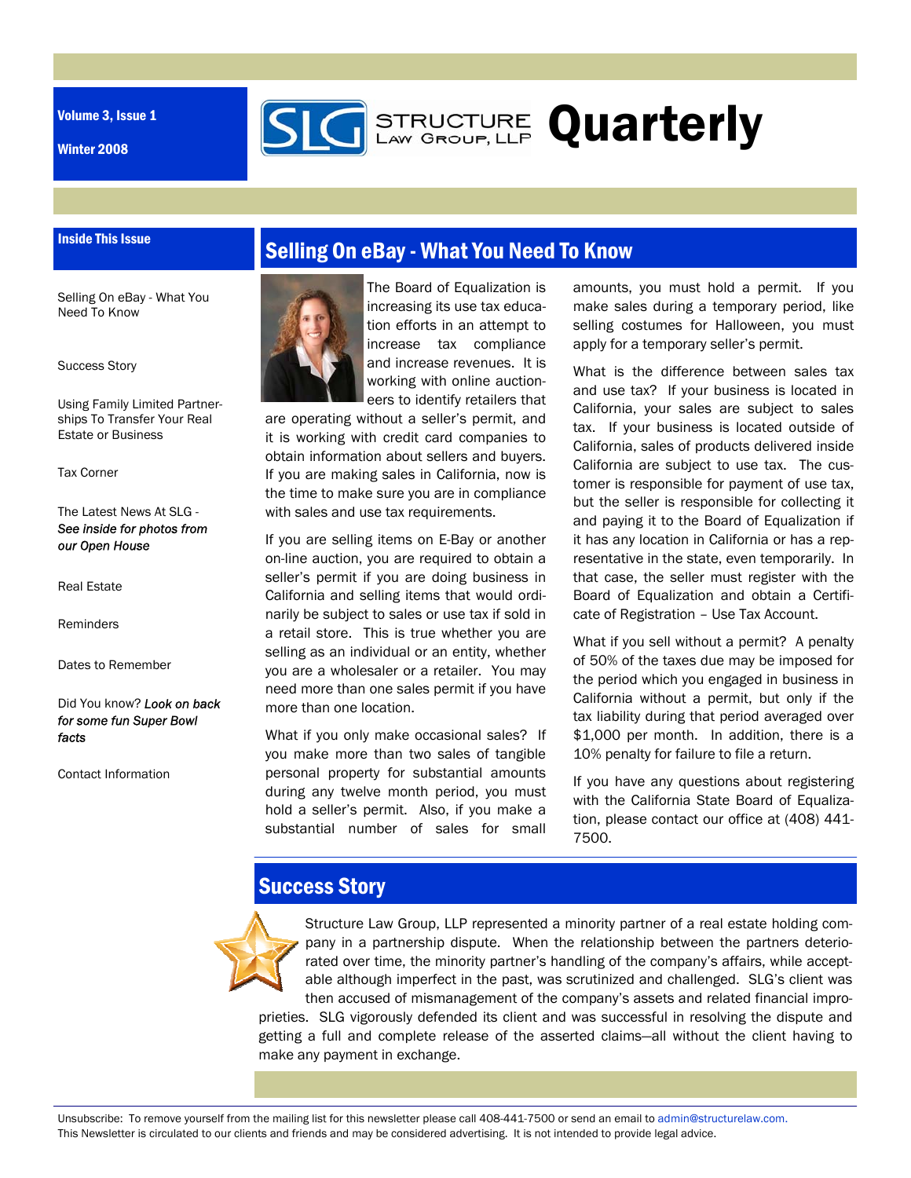Volume 3, Issue 1

Inside This Issue

Winter 2008

## Selling On eBay - What You Need To Know

**GERENGTURE Quarterly** 

Selling On eBay - What You Need To Know

Success Story

Using Family Limited Partnerships To Transfer Your Real Estate or Business

Tax Corner

#### The Latest News At SLG - *See inside for photos from our Open House*

Real Estate

**Reminders** 

Dates to Remember

Did You know? *Look on back for some fun Super Bowl facts* 

Contact Information



The Board of Equalization is increasing its use tax education efforts in an attempt to increase tax compliance and increase revenues. It is working with online auctioneers to identify retailers that

are operating without a seller's permit, and it is working with credit card companies to obtain information about sellers and buyers. If you are making sales in California, now is the time to make sure you are in compliance with sales and use tax requirements.

If you are selling items on E-Bay or another on-line auction, you are required to obtain a seller's permit if you are doing business in California and selling items that would ordinarily be subject to sales or use tax if sold in a retail store. This is true whether you are selling as an individual or an entity, whether you are a wholesaler or a retailer. You may need more than one sales permit if you have more than one location.

What if you only make occasional sales? If you make more than two sales of tangible personal property for substantial amounts during any twelve month period, you must hold a seller's permit. Also, if you make a substantial number of sales for small amounts, you must hold a permit. If you make sales during a temporary period, like selling costumes for Halloween, you must apply for a temporary seller's permit.

What is the difference between sales tax and use tax? If your business is located in California, your sales are subject to sales tax. If your business is located outside of California, sales of products delivered inside California are subject to use tax. The customer is responsible for payment of use tax, but the seller is responsible for collecting it and paying it to the Board of Equalization if it has any location in California or has a representative in the state, even temporarily. In that case, the seller must register with the Board of Equalization and obtain a Certificate of Registration – Use Tax Account.

What if you sell without a permit? A penalty of 50% of the taxes due may be imposed for the period which you engaged in business in California without a permit, but only if the tax liability during that period averaged over \$1,000 per month. In addition, there is a 10% penalty for failure to file a return.

If you have any questions about registering with the California State Board of Equalization, please contact our office at (408) 441- 7500.

## Success Story



Structure Law Group, LLP represented a minority partner of a real estate holding company in a partnership dispute. When the relationship between the partners deteriorated over time, the minority partner's handling of the company's affairs, while acceptable although imperfect in the past, was scrutinized and challenged. SLG's client was then accused of mismanagement of the company's assets and related financial improprieties. SLG vigorously defended its client and was successful in resolving the dispute and getting a full and complete release of the asserted claims—all without the client having to make any payment in exchange.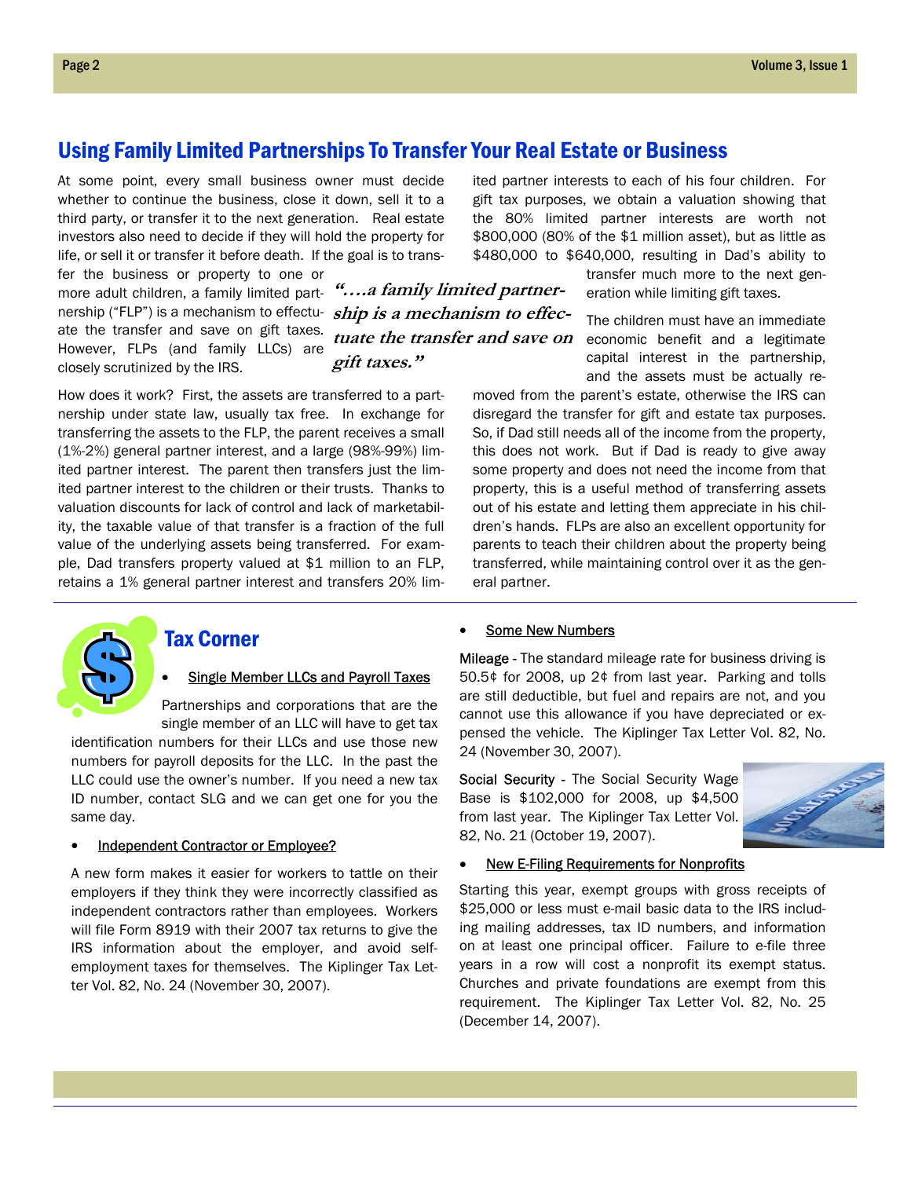## Using Family Limited Partnerships To Transfer Your Real Estate or Business

At some point, every small business owner must decide whether to continue the business, close it down, sell it to a third party, or transfer it to the next generation. Real estate investors also need to decide if they will hold the property for life, or sell it or transfer it before death. If the goal is to trans-

fer the business or property to one or more adult children, a family limited partnership ("FLP") is a mechanism to effectu-**ship is a mechanism to effec**ate the transfer and save on gift taxes. However, FLPs (and family LLCs) are closely scrutinized by the IRS.

**"….a family limited partnertuate the transfer and save on gift taxes."** 

How does it work? First, the assets are transferred to a partnership under state law, usually tax free. In exchange for transferring the assets to the FLP, the parent receives a small (1%-2%) general partner interest, and a large (98%-99%) limited partner interest. The parent then transfers just the limited partner interest to the children or their trusts. Thanks to valuation discounts for lack of control and lack of marketability, the taxable value of that transfer is a fraction of the full value of the underlying assets being transferred. For example, Dad transfers property valued at \$1 million to an FLP, retains a 1% general partner interest and transfers 20% lim-

ited partner interests to each of his four children. For gift tax purposes, we obtain a valuation showing that the 80% limited partner interests are worth not \$800,000 (80% of the \$1 million asset), but as little as \$480,000 to \$640,000, resulting in Dad's ability to

> transfer much more to the next generation while limiting gift taxes.

The children must have an immediate economic benefit and a legitimate capital interest in the partnership, and the assets must be actually re-

moved from the parent's estate, otherwise the IRS can disregard the transfer for gift and estate tax purposes. So, if Dad still needs all of the income from the property, this does not work. But if Dad is ready to give away some property and does not need the income from that property, this is a useful method of transferring assets out of his estate and letting them appreciate in his children's hands. FLPs are also an excellent opportunity for parents to teach their children about the property being transferred, while maintaining control over it as the general partner.



### Tax Corner

#### **Single Member LLCs and Payroll Taxes**

Partnerships and corporations that are the single member of an LLC will have to get tax

identification numbers for their LLCs and use those new numbers for payroll deposits for the LLC. In the past the LLC could use the owner's number. If you need a new tax ID number, contact SLG and we can get one for you the same day.

#### • Independent Contractor or Employee?

A new form makes it easier for workers to tattle on their employers if they think they were incorrectly classified as independent contractors rather than employees. Workers will file Form 8919 with their 2007 tax returns to give the IRS information about the employer, and avoid selfemployment taxes for themselves. The Kiplinger Tax Letter Vol. 82, No. 24 (November 30, 2007).

#### Some New Numbers

Mileage - The standard mileage rate for business driving is 50.5¢ for 2008, up 2¢ from last year. Parking and tolls are still deductible, but fuel and repairs are not, and you cannot use this allowance if you have depreciated or expensed the vehicle. The Kiplinger Tax Letter Vol. 82, No. 24 (November 30, 2007).

Social Security - The Social Security Wage Base is \$102,000 for 2008, up \$4,500 from last year. The Kiplinger Tax Letter Vol. 82, No. 21 (October 19, 2007).



#### **New E-Filing Requirements for Nonprofits**

Starting this year, exempt groups with gross receipts of \$25,000 or less must e-mail basic data to the IRS including mailing addresses, tax ID numbers, and information on at least one principal officer. Failure to e-file three years in a row will cost a nonprofit its exempt status. Churches and private foundations are exempt from this requirement. The Kiplinger Tax Letter Vol. 82, No. 25 (December 14, 2007).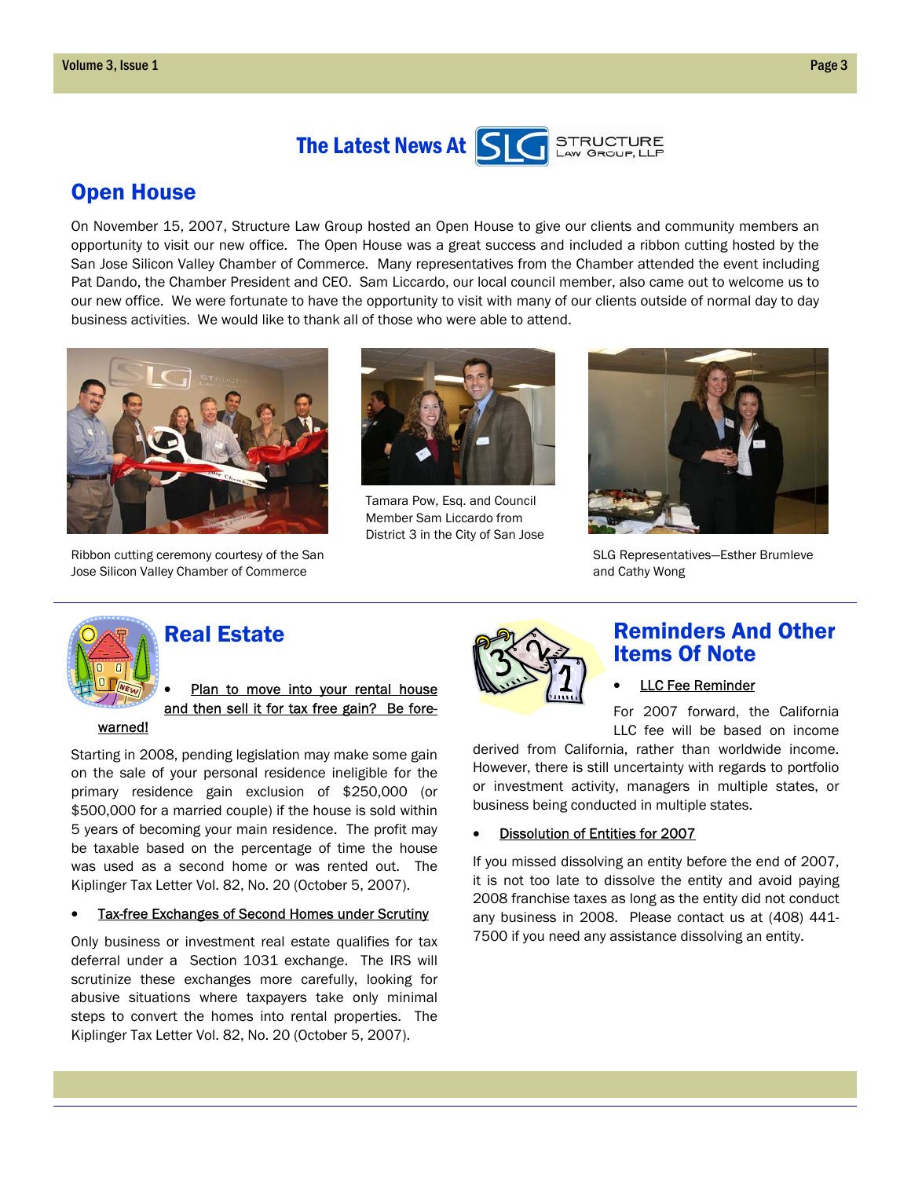



## Open House

On November 15, 2007, Structure Law Group hosted an Open House to give our clients and community members an opportunity to visit our new office. The Open House was a great success and included a ribbon cutting hosted by the San Jose Silicon Valley Chamber of Commerce. Many representatives from the Chamber attended the event including Pat Dando, the Chamber President and CEO. Sam Liccardo, our local council member, also came out to welcome us to our new office. We were fortunate to have the opportunity to visit with many of our clients outside of normal day to day business activities. We would like to thank all of those who were able to attend.



Ribbon cutting ceremony courtesy of the San Jose Silicon Valley Chamber of Commerce



Tamara Pow, Esq. and Council Member Sam Liccardo from District 3 in the City of San Jose



SLG Representatives—Esther Brumleve and Cathy Wong



## Real Estate

Plan to move into your rental house and then sell it for tax free gain? Be fore-

#### warned!

Starting in 2008, pending legislation may make some gain on the sale of your personal residence ineligible for the primary residence gain exclusion of \$250,000 (or \$500,000 for a married couple) if the house is sold within 5 years of becoming your main residence. The profit may be taxable based on the percentage of time the house was used as a second home or was rented out. The Kiplinger Tax Letter Vol. 82, No. 20 (October 5, 2007).

#### **Tax-free Exchanges of Second Homes under Scrutiny**

Only business or investment real estate qualifies for tax deferral under a Section 1031 exchange. The IRS will scrutinize these exchanges more carefully, looking for abusive situations where taxpayers take only minimal steps to convert the homes into rental properties. The Kiplinger Tax Letter Vol. 82, No. 20 (October 5, 2007).



### Reminders And Other Items Of Note

#### **LLC Fee Reminder**

For 2007 forward, the California LLC fee will be based on income

derived from California, rather than worldwide income. However, there is still uncertainty with regards to portfolio or investment activity, managers in multiple states, or business being conducted in multiple states.

#### • Dissolution of Entities for 2007

If you missed dissolving an entity before the end of 2007, it is not too late to dissolve the entity and avoid paying 2008 franchise taxes as long as the entity did not conduct any business in 2008. Please contact us at (408) 441- 7500 if you need any assistance dissolving an entity.